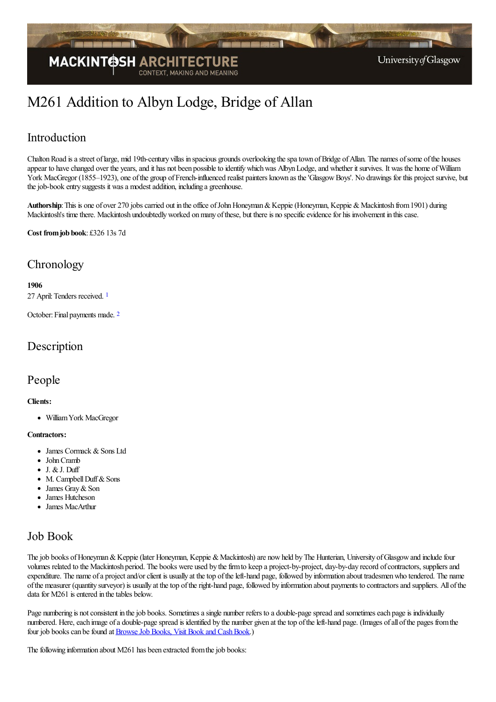

# M261 Addition to Albyn Lodge, Bridge of Allan

### Introduction

Chalton Road is a street of large, mid 19th-century villas in spacious grounds overlooking the spatown of Bridge of Allan. The names of some of the houses appear to have changed over the years, and it has not been possible to identify which was Albyn Lodge, and whether it survives. It was the home of William York MacGregor (1855–1923), one of the group of French-influenced realist painters known as the 'Glasgow Boys'. No drawings for this project survive, but the job-book entry suggests it was a modest addition, including a greenhouse.

Authorship: This is one of over 270 jobs carried out in the office of John Honeyman & Keppie (Honeyman, Keppie & Mackintosh from 1901) during Mackintosh's time there. Mackintosh undoubtedly worked on many of these, but there is no specific evidence for his involvement in this case.

**Cost fromjob book**: £326 13s 7d

### **Chronology**

#### <span id="page-0-0"></span>**1906**

27 April: Tenders received. [1](#page-2-0)

<span id="page-0-1"></span>October: Final payments made. <sup>[2](#page-2-1)</sup>

### Description

#### People

#### **Clients:**

WilliamYork MacGregor

#### **Contractors:**

- James Cormack & Sons Ltd
- JohnCramb
- $\bullet$  J. & J. Duff
- $\bullet$ M. Campbell Duff & Sons
- James Gray & Son  $\bullet$
- James Hutcheson
- James MacArthur

### Job Book

The job books of Honeyman & Keppie (later Honeyman, Keppie & Mackintosh) are now held by The Hunterian, University of Glasgow and include four volumes related to the Mackintosh period. The books were used by the firm to keep a project-by-project, day-by-day record of contractors, suppliers and expenditure. The name of a project and/or client is usually at the top of the left-hand page, followed by information about tradesmen who tendered. The name ofthe measurer (quantity surveyor) is usually at thetop oftheright-hand page, followed by information about payments to contractorsand suppliers. All ofthe data for M261 is entered in the tables below.

Page numbering is not consistent in the job books. Sometimes a single number refers to a double-page spread and sometimes each page is individually numbered. Here, each image of a double-page spread is identified by the number given at the top of the left-hand page. (Images of all of the pages from the four job books can be found at Browse Job Books, Visit Book and Cash Book.)

The following information about M261 has been extracted from the job books: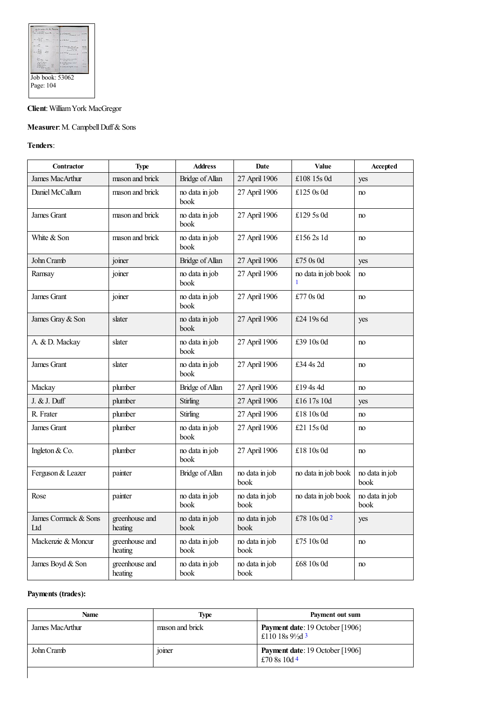|           | .                                                                                                                                    |
|-----------|--------------------------------------------------------------------------------------------------------------------------------------|
|           |                                                                                                                                      |
|           |                                                                                                                                      |
|           |                                                                                                                                      |
|           | --                                                                                                                                   |
|           |                                                                                                                                      |
| Page: 104 | and more<br>W. J. Kurz chekers Suddy<br>products and their<br>by a lead and have comed<br>--<br>at with come from<br>Job book: 53062 |

#### **Client**:WilliamYork MacGregor

#### **Measurer:** M. Campbell Duff & Sons

#### **Tenders**:

<span id="page-1-0"></span>

| Contractor                  | <b>Type</b>               | <b>Address</b>         | Date                   | Value                     | Accepted               |
|-----------------------------|---------------------------|------------------------|------------------------|---------------------------|------------------------|
| <b>James MacArthur</b>      | mason and brick           | Bridge of Allan        | 27 April 1906          | £108 15s 0d               | yes                    |
| Daniel McCallum             | mason and brick           | no data in job<br>book | 27 April 1906          | £125 $0s$ 0d              | no                     |
| James Grant                 | mason and brick           | no data in job<br>book | 27 April 1906          | £129 5s 0d                | no                     |
| White & Son                 | mason and brick           | no data in job<br>book | 27 April 1906          | £156 $2s$ 1d              | no                     |
| John Cramb                  | joiner                    | Bridge of Allan        | 27 April 1906          | £75 $0s$ 0d               | yes                    |
| Ramsay                      | joiner                    | no data in job<br>book | 27 April 1906          | no data in job book<br>-1 | no                     |
| James Grant                 | joiner                    | no data in job<br>book | 27 April 1906          | £77 0s 0d                 | no                     |
| James Gray & Son            | slater                    | no data in job<br>book | 27 April 1906          | £24 19s 6d                | yes                    |
| A. & D. Mackay              | slater                    | no data in job<br>book | 27 April 1906          | £39 10s 0d                | no                     |
| James Grant                 | slater                    | no data in job<br>book | 27 April 1906          | £34 4s 2d                 | no                     |
| Mackay                      | plumber                   | Bridge of Allan        | 27 April 1906          | £194s4d                   | no                     |
| J. & J. Duff                | plumber                   | Stirling               | 27 April 1906          | £16 17s 10d               | yes                    |
| R. Frater                   | plumber                   | Stirling               | 27 April 1906          | £18 10s 0d                | no                     |
| James Grant                 | plumber                   | no data in job<br>book | 27 April 1906          | £21 15s 0d                | no                     |
| Ingleton & Co.              | plumber                   | no data in job<br>book | 27 April 1906          | £18 10s 0d                | no                     |
| Ferguson & Leazer           | painter                   | Bridge of Allan        | no data in job<br>book | no data in job book       | no data in job<br>book |
| Rose                        | painter                   | no data in job<br>book | no data in job<br>book | no data in job book       | no data in job<br>book |
| James Cormack & Sons<br>Ltd | greenhouse and<br>heating | no data in job<br>book | no data in job<br>book | £78 10s 0d $2$            | yes                    |
| Mackenzie & Moncur          | greenhouse and<br>heating | no data in job<br>book | no data in job<br>book | £75 10s 0d                | no                     |
| James Boyd & Son            | greenhouse and<br>heating | no data in job<br>book | no data in job<br>book | £68 10s 0d                | no                     |

#### <span id="page-1-1"></span>**Payments (trades):**

<span id="page-1-3"></span><span id="page-1-2"></span>

| <b>Name</b>     | Type                                 | Payment out sum                                                       |
|-----------------|--------------------------------------|-----------------------------------------------------------------------|
| James MacArthur | mason and brick                      | <b>Payment date:</b> 19 October [1906]<br>£110 18s $9\frac{1}{2}$ d 3 |
| John Cramb      | $\cdot$ $\cdot$<br><sub>10</sub> mer | <b>Payment date:</b> 19 October [1906]<br>£70 8s 10d 4                |
|                 |                                      |                                                                       |